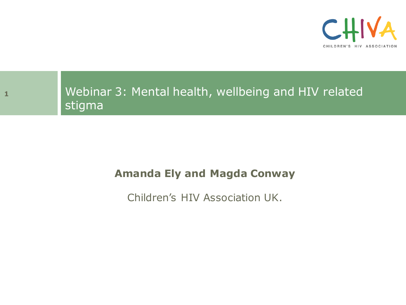



### Webinar 3: Mental health, wellbeing and HIV related stigma

#### **Amanda Ely and Magda Conway**

Children's HIV Association UK.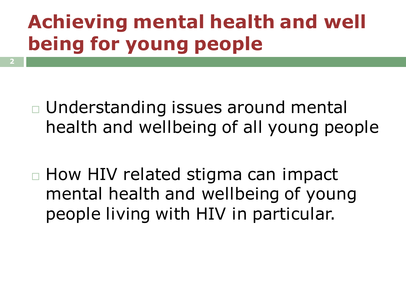# **Achieving mental health and well being for young people**

- Understanding issues around mental health and wellbeing of all young people
- $\Box$  How HIV related stigma can impact mental health and wellbeing of young people living with HIV in particular.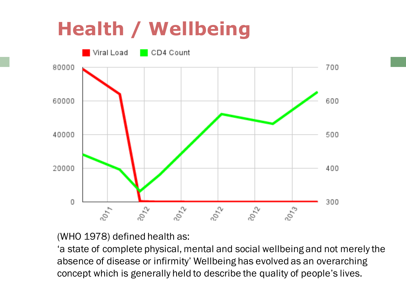# **Health / Wellbeing**



(WHO 1978) defined health as:

'a state of complete physical, mental and social wellbeing and not merely the absence of disease or infirmity' Wellbeing has evolved as an overarching concept which is generally held to describe the quality of people's lives.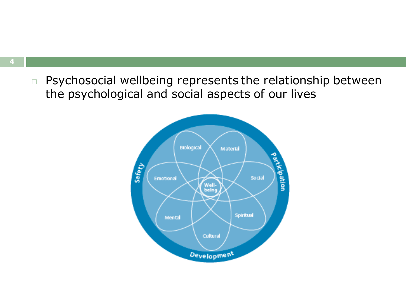$\Box$  Psychosocial wellbeing represents the relationship between the psychological and social aspects of our lives

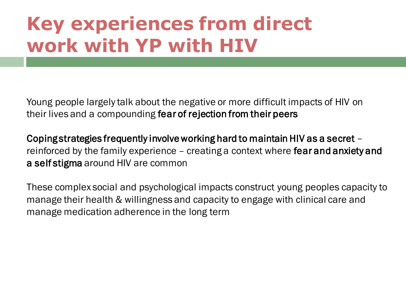### **Key experiences from direct work with YP with HIV**

Young people largely talk about the negative or more difficult impacts of HIV on their lives and a compounding fear of rejection from their peers

reinforced by the family experience - creating a context where fear and anxiety and Coping strategies frequently involve working hard to maintain HIV as a secret – a self stigma around HIV are common

These complex social and psychological impacts construct young peoples capacity to manage their health & willingness and capacity to engage with clinical care and manage medication adherence in the long term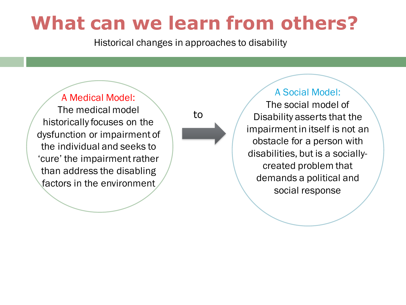### **What can we learn from others?**

Historical changes in approaches to disability

#### A Medical Model:

The medical model historically focuses on the dysfunction or impairment of the individual and seeks to 'cure' the impairment rather than address the disabling factors in the environment

to

The social model of Disability asserts that the impairment in itself is not an obstacle for a person with disabilities, but is a sociallycreated problem that demands a political and social response

A Social Model: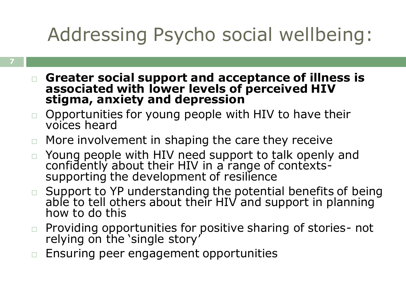# Addressing Psycho social wellbeing:

- **Greater social support and acceptance of illness is associated with lower levels of perceived HIV stigma, anxiety and depression**
- $\Box$  Opportunities for young people with HIV to have their voices heard
- $\Box$  More involvement in shaping the care they receive
- Young people with HIV need support to talk openly and confidently about their HIV in a range of contextssupporting the development of resilience
- Support to YP understanding the potential benefits of being able to tell others about their HIV and support in planning how to do this
- $\Box$  Providing opportunities for positive sharing of stories- not relying on the 'single story'
- $\Box$  Ensuring peer engagement opportunities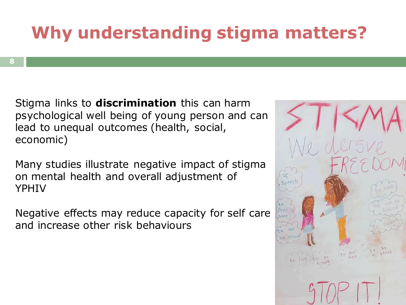### **Why understanding stigma matters?**

Stigma links to **discrimination** this can harm psychological well being of young person and can lead to unequal outcomes (health, social, economic)

Many studies illustrate negative impact of stigma on mental health and overall adjustment of YPHIV

Negative effects may reduce capacity for self care and increase other risk behaviours

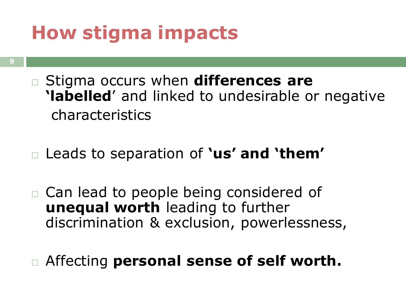### **How stigma impacts**

- **9**
- Stigma occurs when **differences are 'labelled**' and linked to undesirable or negative characteristics
- Leads to separation of **'us' and 'them'**
- Can lead to people being considered of **unequal worth** leading to further discrimination & exclusion, powerlessness,
- Affecting **personal sense of self worth.**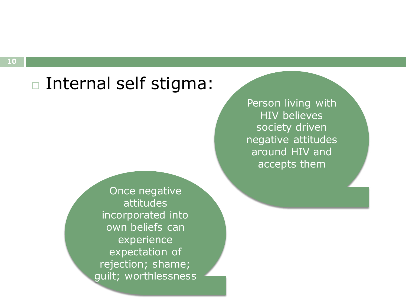### Internal self stigma:

Person living with HIV believes society driven negative attitudes around HIV and accepts them

Once negative attitudes incorporated into own beliefs can experience expectation of rejection; shame; guilt; worthlessness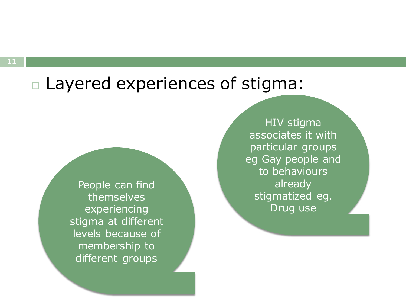### Layered experiences of stigma:

People can find themselves experiencing stigma at different levels because of membership to different groups

HIV stigma associates it with particular groups eg Gay people and to behaviours already stigmatized eg. Drug use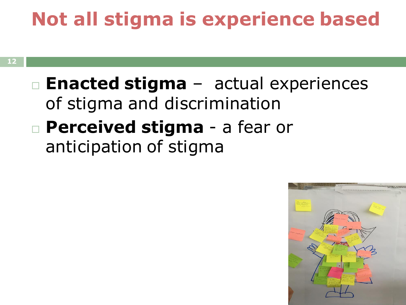# **Not all stigma is experience based**

 **Enacted stigma** – actual experiences of stigma and discrimination **Perceived stigma** - a fear or anticipation of stigma

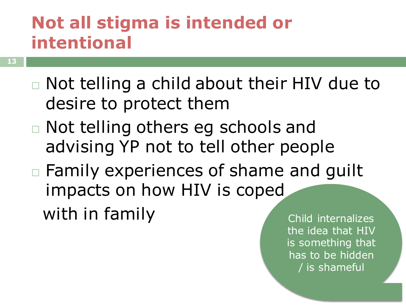### **Not all stigma is intended or intentional**

- **13**
- Not telling a child about their HIV due to desire to protect them
- Not telling others eg schools and advising YP not to tell other people
- □ Family experiences of shame and quilt impacts on how HIV is coped with in family and the Child internalizes

the idea that HIV is something that has to be hidden / is shameful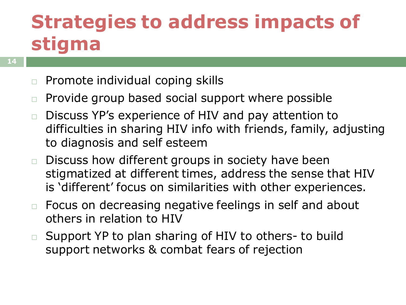### **Strategies to address impacts of stigma**

- **14**
- $\Box$  Promote individual coping skills
- $\Box$  Provide group based social support where possible
- □ Discuss YP's experience of HIV and pay attention to difficulties in sharing HIV info with friends, family, adjusting to diagnosis and self esteem
- $\Box$  Discuss how different groups in society have been stigmatized at different times, address the sense that HIV is 'different' focus on similarities with other experiences.
- □ Focus on decreasing negative feelings in self and about others in relation to HIV
- □ Support YP to plan sharing of HIV to others- to build support networks & combat fears of rejection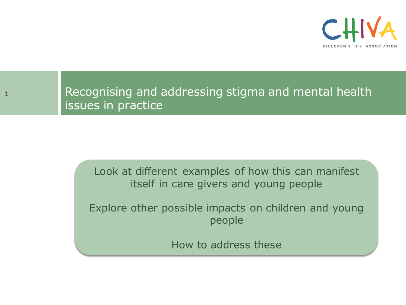



### Recognising and addressing stigma and mental health issues in practice

Look at different examples of how this can manifest itself in care givers and young people

Explore other possible impacts on children and young people

How to address these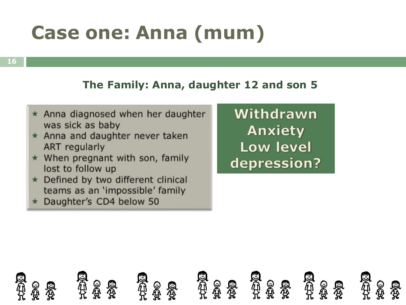# **Case one: Anna (mum)**

**16**

#### **The Family: Anna, daughter 12 and son 5**

- $\star$  Anna diagnosed when her daughter was sick as baby
- \* Anna and daughter never taken ART regularly
- $\star$  When pregnant with son, family lost to follow up
- ★ Defined by two different clinical teams as an 'impossible' family
- \* Daughter's CD4 below 50

Withdrawn Anxiety **Low level** depression?

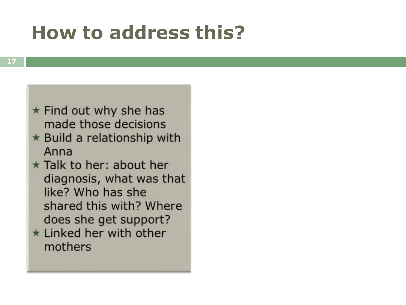### **How to address this?**



- \* Build a relationship with Anna
- \* Talk to her: about her diagnosis, what was that like? Who has she shared this with? Where does she get support?
- $\star$  Linked her with other mothers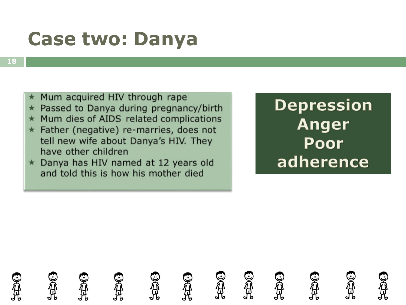### **Case two: Danya**

- Mum acquired HIV through rape
- $\star$  Passed to Danya during pregnancy/birth
- Mum dies of AIDS related complications  $\star$
- $\star$  Father (negative) re-marries, does not tell new wife about Danya's HIV. They have other children
- \* Danya has HIV named at 12 years old and told this is how his mother died

**Depression Anger** Poor adherence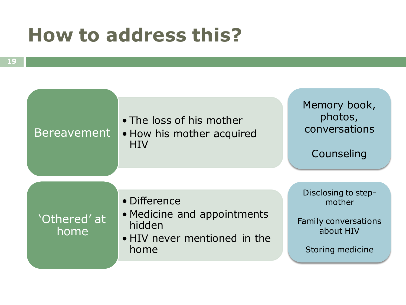### **How to address this?**

| <b>Bereavement</b>   | • The loss of his mother<br>• How his mother acquired<br><b>HIV</b>                           | Memory book,<br>photos,<br>conversations<br>Counseling                                        |
|----------------------|-----------------------------------------------------------------------------------------------|-----------------------------------------------------------------------------------------------|
| 'Othered' at<br>home | • Difference<br>• Medicine and appointments<br>hidden<br>• HIV never mentioned in the<br>home | Disclosing to step-<br>mother<br><b>Family conversations</b><br>about HIV<br>Storing medicine |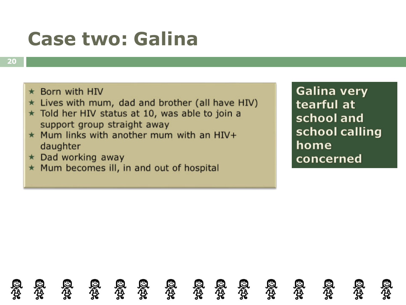### **Case two: Galina**

- $\star$  Born with HIV
- \* Lives with mum, dad and brother (all have HIV)
- \* Told her HIV status at 10, was able to join a support group straight away
- $\star$  Mum links with another mum with an HIV+ daughter
- $\star$  Dad working away
- \* Mum becomes ill, in and out of hospital

**Galina very** tearful at school and school calling home concerned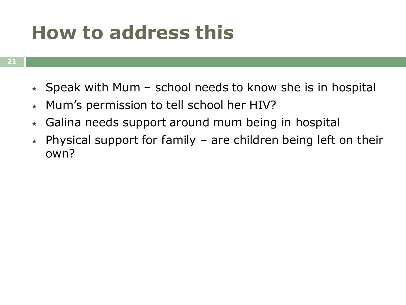### **How to address this**

- $\star$  Speak with Mum school needs to know she is in hospital
- $\star$  Mum's permission to tell school her HIV?
- $\star$  Galina needs support around mum being in hospital
- $\star$  Physical support for family are children being left on their own?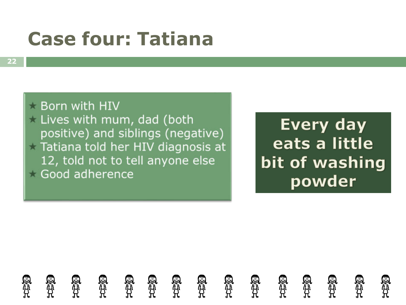### **Case four: Tatiana**

**Born with HIV** Lives with mum, dad (both positive) and siblings (negative) Tatiana told her HIV diagnosis at 12, told not to tell anyone else Good adherence

**Every day** eats a little bit of washing powder

en<br>A SA<br>A **el**<br>H en<br>H Sip<br>H en<br>H en<br>El Sip<br>Li **SA** en<br>Al is<br>U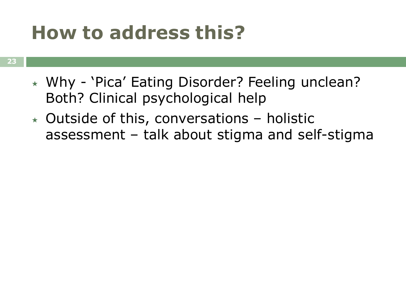### **How to address this?**

- Why 'Pica' Eating Disorder? Feeling unclean? Both? Clinical psychological help
- $\star$  Outside of this, conversations holistic assessment – talk about stigma and self-stigma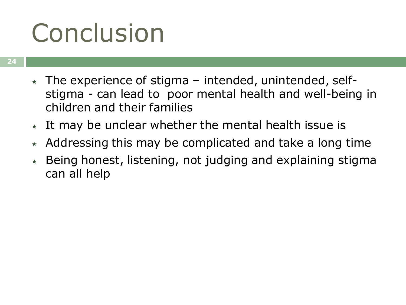# Conclusion

- $\star$  The experience of stigma intended, unintended, selfstigma - can lead to poor mental health and well-being in children and their families
- $\star$  It may be unclear whether the mental health issue is
- Addressing this may be complicated and take a long time
- $\star$  Being honest, listening, not judging and explaining stigma can all help  $\overline{a}$